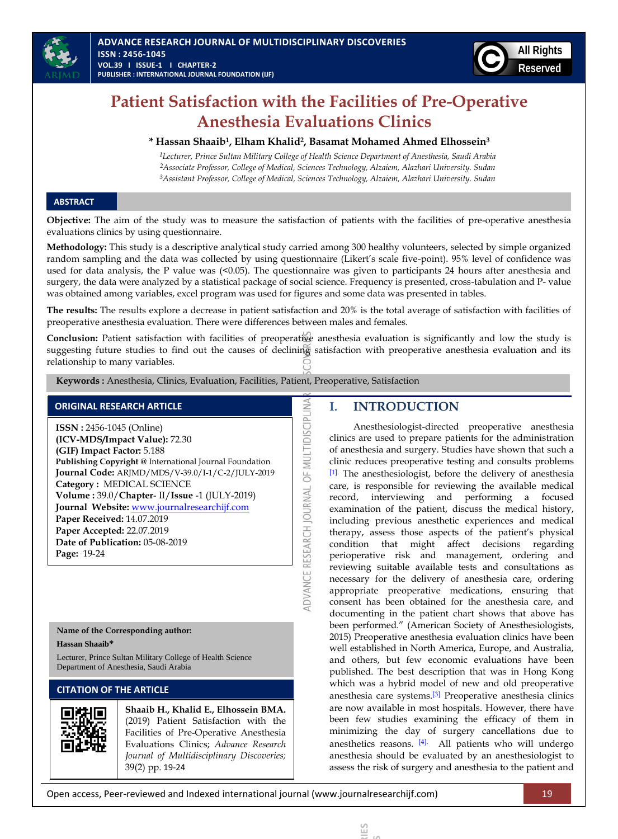

# **Patient Satisfaction with the Facilities of Pre-Operative Anesthesia Evaluations Clinics**

#### **\* Hassan Shaaib<sup>1</sup> , Elham Khalid<sup>2</sup> , Basamat Mohamed Ahmed Elhossein<sup>3</sup>**

*1Lecturer, Prince Sultan Military College of Health Science Department of Anesthesia, Saudi Arabia 2Associate Professor, College of Medical, Sciences Technology, Alzaiem, Alazhari University. Sudan 3Assistant Professor, College of Medical, Sciences Technology, Alzaiem, Alazhari University. Sudan*

#### **ABSTRACT**

**Objective:** The aim of the study was to measure the satisfaction of patients with the facilities of pre-operative anesthesia evaluations clinics by using questionnaire.

**Methodology:** This study is a descriptive analytical study carried among 300 healthy volunteers, selected by simple organized random sampling and the data was collected by using questionnaire (Likert's scale five-point). 95% level of confidence was used for data analysis, the P value was (<0.05). The questionnaire was given to participants 24 hours after anesthesia and surgery, the data were analyzed by a statistical package of social science. Frequency is presented, cross-tabulation and P- value was obtained among variables, excel program was used for figures and some data was presented in tables.

**The results:** The results explore a decrease in patient satisfaction and 20% is the total average of satisfaction with facilities of preoperative anesthesia evaluation. There were differences between males and females.

**Conclusion:** Patient satisfaction with facilities of preoperative anesthesia evaluation is significantly and low the study is suggesting future studies to find out the causes of declining satisfaction with preoperative anesthesia evaluation and its relationship to many variables.

ADVANCE RESEARCH JOURNAL OF MULTIDISCIPLINA

 **Keywords :** Anesthesia, Clinics, Evaluation, Facilities, Patient, Preoperative, Satisfaction

## **ORIGINAL RESEARCH ARTICLE**

**ISSN :** 2456-1045 (Online) **(ICV-MDS/Impact Value):** 72.30 **(GIF) Impact Factor:** 5.188 **Publishing Copyright @** International Journal Foundation **Journal Code:** ARJMD/MDS/V-39.0/I-1/C-2/JULY-2019 **Category :** MEDICAL SCIENCE **Volume :** 39.0/**Chapter**- II/**Issue** -1 (JULY-2019) **Journal Website:** [www.journalresearchijf.com](http://www.journalresearchijf.com/) **Paper Received:** 14.07.2019 **Paper Accepted:** 22.07.2019 **Date of Publication:** 05-08-2019 **Page:** 19-24

# **Name of the Corresponding author:**

**Hassan Shaaib\***

Lecturer, Prince Sultan Military College of Health Science Department of Anesthesia, Saudi Arabia

# **CITATION OF THE ARTICLE**

**Shaaib H., Khalid E., Elhossein BMA.** (2019) Patient Satisfaction with the Facilities of Pre-Operative Anesthesia Evaluations Clinics; *Advance Research Journal of Multidisciplinary Discoveries;* 39(2) pp. 19-24

# **I. INTRODUCTION**

**ADVANCE RESEARCH JOURNAL OF MULTIDISCIPLINARY DISCOVERIES**  $\overline{\phantom{a}}$ 

≌

Anesthesiologist-directed preoperative anesthesia clinics are used to prepare patients for the administration of anesthesia and surgery. Studies have shown that such a clinic reduces preoperative testing and consults problems [\[1\].](#page-4-0) The anesthesiologist, before the delivery of anesthesia care, is responsible for reviewing the available medical record, interviewing and performing a focused examination of the patient, discuss the medical history, including previous anesthetic experiences and medical therapy, assess those aspects of the patient's physical condition that might affect decisions regarding perioperative risk and management, ordering and reviewing suitable available tests and consultations as necessary for the delivery of anesthesia care, ordering appropriate preoperative medications, ensuring that consent has been obtained for the anesthesia care, and documenting in the patient chart shows that above has been performed." (American Society of Anesthesiologists, 2015) Preoperative anesthesia evaluation clinics have been well established in North America, Europe, and Australia, and others, but few economic evaluations have been published. The best description that was in Hong Kong which was a hybrid model of new and old preoperative anesthesia care systems.[\[3\]](#page-4-1) Preoperative anesthesia clinics are now available in most hospitals. However, there have been few studies examining the efficacy of them in minimizing the day of surgery cancellations due to anesthetics reasons. [\[4\].](#page-4-2) All patients who will undergo anesthesia should be evaluated by an anesthesiologist to assess the risk of surgery and anesthesia to the patient and

Open access, Peer-reviewed and Indexed international journal (www.journalresearchijf.com) 19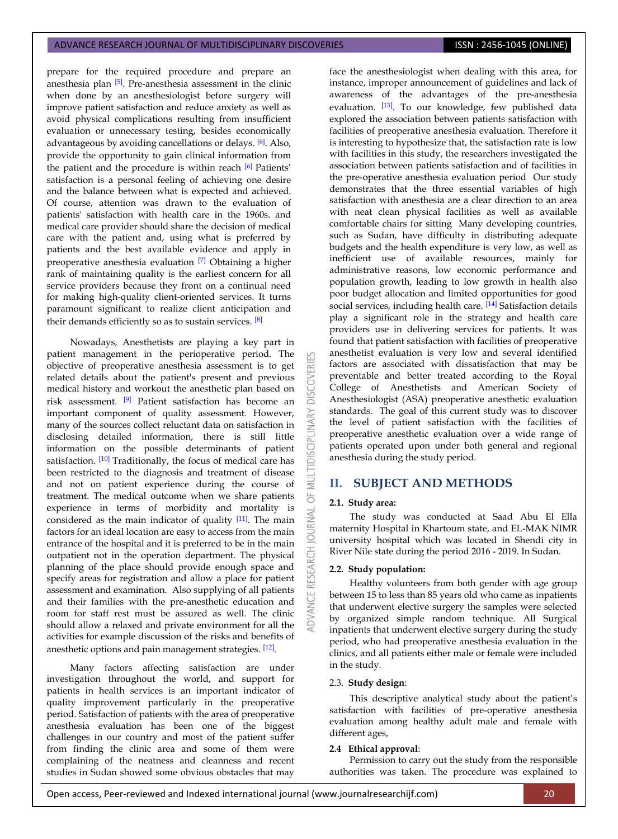prepare for the required procedure and prepare an anesthesia plan [\[5\]](#page-5-0). Pre-anesthesia assessment in the clinic when done by an anesthesiologist before surgery will improve patient satisfaction and reduce anxiety as well as avoid physical complications resulting from insufficient evaluation or unnecessary testing, besides economically advantageous by avoiding cancellations or delays. [\[6\]](#page-5-1). Also, provide the opportunity to gain clinical information from the patient and the procedure is within reach [\[6\]](#page-5-1) Patients' satisfaction is a personal feeling of achieving one desire and the balance between what is expected and achieved. Of course, attention was drawn to the evaluation of patients' satisfaction with health care in the 1960s. and medical care provider should share the decision of medical care with the patient and, using what is preferred by patients and the best available evidence and apply in preoperative anesthesia evaluation [\[7\]](#page-5-2) Obtaining a higher rank of maintaining quality is the earliest concern for all service providers because they front on a continual need for making high-quality client-oriented services. It turns paramount significant to realize client anticipation and their demands efficiently so as to sustain services. [\[8\]](#page-5-3)

Nowadays, Anesthetists are playing a key part in patient management in the perioperative period. The objective of preoperative anesthesia assessment is to get related details about the patient's present and previous medical history and workout the anesthetic plan based on risk assessment. [\[9\]](#page-5-4) Patient satisfaction has become an important component of quality assessment. However, many of the sources collect reluctant data on satisfaction in disclosing detailed information, there is still little information on the possible determinants of patient satisfaction. [\[10\]](#page-5-5) Traditionally, the focus of medical care has been restricted to the diagnosis and treatment of disease and not on patient experience during the course of treatment. The medical outcome when we share patients experience in terms of morbidity and mortality is considered as the main indicator of quality [\[11\]](#page-5-6). The main factors for an ideal location are easy to access from the main entrance of the hospital and it is preferred to be in the main outpatient not in the operation department. The physical planning of the place should provide enough space and specify areas for registration and allow a place for patient assessment and examination. Also supplying of all patients and their families with the pre-anesthetic education and room for staff rest must be assured as well. The clinic should allow a relaxed and private environment for all the activities for example discussion of the risks and benefits of anesthetic options and pain management strategies. [\[12\]](#page-5-7).

Many factors affecting satisfaction are under investigation throughout the world, and support for patients in health services is an important indicator of quality improvement particularly in the preoperative period. Satisfaction of patients with the area of preoperative anesthesia evaluation has been one of the biggest challenges in our country and most of the patient suffer from finding the clinic area and some of them were complaining of the neatness and cleanness and recent studies in Sudan showed some obvious obstacles that may

face the anesthesiologist when dealing with this area, for instance, improper announcement of guidelines and lack of awareness of the advantages of the pre-anesthesia evaluation. [\[13\]](#page-5-8). To our knowledge, few published data explored the association between patients satisfaction with facilities of preoperative anesthesia evaluation. Therefore it is interesting to hypothesize that, the satisfaction rate is low with facilities in this study, the researchers investigated the association between patients satisfaction and of facilities in the pre-operative anesthesia evaluation period Our study demonstrates that the three essential variables of high satisfaction with anesthesia are a clear direction to an area with neat clean physical facilities as well as available comfortable chairs for sitting Many developing countries, such as Sudan, have difficulty in distributing adequate budgets and the health expenditure is very low, as well as inefficient use of available resources, mainly for administrative reasons, low economic performance and population growth, leading to low growth in health also poor budget allocation and limited opportunities for good social services, including health care. [\[14\]](#page-5-9) Satisfaction details play a significant role in the strategy and health care providers use in delivering services for patients. It was found that patient satisfaction with facilities of preoperative anesthetist evaluation is very low and several identified factors are associated with dissatisfaction that may be preventable and better treated according to the Royal College of Anesthetists and American Society of Anesthesiologist (ASA) preoperative anesthetic evaluation standards. The goal of this current study was to discover the level of patient satisfaction with the facilities of preoperative anesthetic evaluation over a wide range of patients operated upon under both general and regional anesthesia during the study period.

## **II. SUBJECT AND METHODS**

#### **2.1. Study area:**

**DISCOVERI** 

ä **JRNAL**  $\overline{0}$ 

RESEARCH

The study was conducted at Saad Abu El Ella maternity Hospital in Khartoum state, and EL-MAK NIMR university hospital which was located in Shendi city in River Nile state during the period 2016 - 2019. In Sudan.

#### **2.2. Study population:**

Healthy volunteers from both gender with age group between 15 to less than 85 years old who came as inpatients that underwent elective surgery the samples were selected by organized simple random technique. All Surgical inpatients that underwent elective surgery during the study period, who had preoperative anesthesia evaluation in the clinics, and all patients either male or female were included in the study.

#### 2.3. **Study design**:

This descriptive analytical study about the patient's satisfaction with facilities of pre-operative anesthesia evaluation among healthy adult male and female with different ages,

## **2.4 Ethical approval**:

Permission to carry out the study from the responsible authorities was taken. The procedure was explained to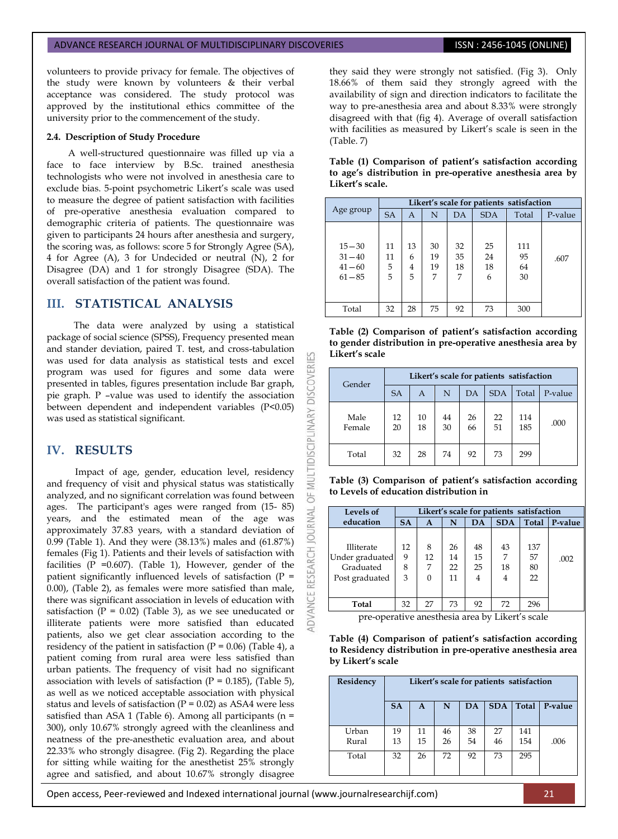volunteers to provide privacy for female. The objectives of the study were known by volunteers & their verbal acceptance was considered. The study protocol was approved by the institutional ethics committee of the university prior to the commencement of the study.

#### **2.4. Description of Study Procedure**

A well-structured questionnaire was filled up via a face to face interview by B.Sc. trained anesthesia technologists who were not involved in anesthesia care to exclude bias. 5-point psychometric Likert's scale was used to measure the degree of patient satisfaction with facilities of pre-operative anesthesia evaluation compared to demographic criteria of patients. The questionnaire was given to participants 24 hours after anesthesia and surgery, the scoring was, as follows: score 5 for Strongly Agree (SA), 4 for Agree (A), 3 for Undecided or neutral (N), 2 for Disagree (DA) and 1 for strongly Disagree (SDA). The overall satisfaction of the patient was found.

# **III. STATISTICAL ANALYSIS**

The data were analyzed by using a statistical package of social science (SPSS), Frequency presented mean and stander deviation, paired T. test, and cross-tabulation was used for data analysis as statistical tests and excel program was used for figures and some data were presented in tables, figures presentation include Bar graph, pie graph. P –value was used to identify the association between dependent and independent variables (P<0.05) was used as statistical significant.

# **IV. RESULTS**

Impact of age, gender, education level, residency and frequency of visit and physical status was statistically analyzed, and no significant correlation was found between ages. The participant's ages were ranged from (15- 85) years, and the estimated mean of the age was approximately 37.83 years, with a standard deviation of 0.99 (Table 1). And they were (38.13%) males and (61.87%) females (Fig 1). Patients and their levels of satisfaction with facilities ( $P = 0.607$ ). (Table 1), However, gender of the patient significantly influenced levels of satisfaction  $(P =$ 0.00), (Table 2), as females were more satisfied than male, there was significant association in levels of education with satisfaction ( $P = 0.02$ ) (Table 3), as we see uneducated or illiterate patients were more satisfied than educated patients, also we get clear association according to the residency of the patient in satisfaction ( $P = 0.06$ ) (Table 4), a patient coming from rural area were less satisfied than urban patients. The frequency of visit had no significant association with levels of satisfaction  $(P = 0.185)$ , (Table 5), as well as we noticed acceptable association with physical status and levels of satisfaction ( $P = 0.02$ ) as ASA4 were less satisfied than ASA 1 (Table 6). Among all participants ( $n =$ 300), only 10.67% strongly agreed with the cleanliness and neatness of the pre-anesthetic evaluation area, and about 22.33% who strongly disagree. (Fig 2). Regarding the place for sitting while waiting for the anesthetist 25% strongly agree and satisfied, and about 10.67% strongly disagree

they said they were strongly not satisfied. (Fig 3). Only 18.66% of them said they strongly agreed with the availability of sign and direction indicators to facilitate the way to pre-anesthesia area and about 8.33% were strongly disagreed with that (fig 4). Average of overall satisfaction with facilities as measured by Likert's scale is seen in the (Table. 7)

| Table (1) Comparison of patient's satisfaction according  |
|-----------------------------------------------------------|
| to age's distribution in pre-operative anesthesia area by |
| Likert's scale.                                           |

|                                                  | Likert's scale for patients satisfaction |                   |                     |                     |                     |                       |         |  |  |
|--------------------------------------------------|------------------------------------------|-------------------|---------------------|---------------------|---------------------|-----------------------|---------|--|--|
| Age group                                        | <b>SA</b>                                | A                 | N                   | DA                  | <b>SDA</b>          | Total                 | P-value |  |  |
| $15 - 30$<br>$31 - 40$<br>$41 - 60$<br>$61 - 85$ | 11<br>11<br>5<br>5                       | 13<br>6<br>4<br>5 | 30<br>19<br>19<br>7 | 32<br>35<br>18<br>7 | 25<br>24<br>18<br>6 | 111<br>95<br>64<br>30 | .607    |  |  |
| Total                                            | 32                                       | 28                | 75                  | 92                  | 73                  | 300                   |         |  |  |

|                | Table (2) Comparison of patient's satisfaction according   |  |  |
|----------------|------------------------------------------------------------|--|--|
|                | to gender distribution in pre-operative anesthesia area by |  |  |
| Likert's scale |                                                            |  |  |

| Gender         | Likert's scale for patients satisfaction |          |          |          |            |            |         |  |  |
|----------------|------------------------------------------|----------|----------|----------|------------|------------|---------|--|--|
|                | <b>SA</b>                                | A        | N        | DA       | <b>SDA</b> | Total      | P-value |  |  |
| Male<br>Female | 12<br>20                                 | 10<br>18 | 44<br>30 | 26<br>66 | 22<br>51   | 114<br>185 | .000    |  |  |
| Total          | 32                                       | 28       | 74       | 92       | 73         | 299        |         |  |  |

**Table (3) Comparison of patient's satisfaction according to Levels of education distribution in**

| Levels of         | Likert's scale for patients satisfaction |          |    |    |            |       |         |
|-------------------|------------------------------------------|----------|----|----|------------|-------|---------|
| education         | <b>SA</b>                                | A        | N  | DA | <b>SDA</b> | Total | P-value |
|                   |                                          |          |    |    |            |       |         |
| <b>Illiterate</b> | 12                                       | 8        | 26 | 48 | 43         | 137   |         |
| Under graduated   | 9                                        | 12       | 14 | 15 | 7          | 57    | .002    |
| Graduated         | 8                                        | 7        | 22 | 25 | 18         | 80    |         |
| Post graduated    | 3                                        | $\Omega$ | 11 | 4  | 4          | 22    |         |
|                   |                                          |          |    |    |            |       |         |
| Total             | 32                                       | 27       | 73 | 92 | 72         | 296   |         |

pre-operative anesthesia area by Likert's scale

**Table (4) Comparison of patient's satisfaction according to Residency distribution in pre-operative anesthesia area by Likert's scale**

| Residency | Likert's scale for patients satisfaction |    |    |    |            |       |         |  |  |
|-----------|------------------------------------------|----|----|----|------------|-------|---------|--|--|
|           | <b>SA</b>                                | A  | N  | DA | <b>SDA</b> | Total | P-value |  |  |
| Urban     | 19                                       | 11 | 46 | 38 | 27         | 141   |         |  |  |
| Rural     | 13                                       | 15 | 26 | 54 | 46         | 154   | .006    |  |  |
| Total     | 32                                       | 26 | 72 | 92 | 73         | 295   |         |  |  |

Open access, Peer-reviewed and Indexed international journal (www.journalresearchijf.com) 21

MULTIDISCIPLINARY DISCOVERI

bF<sub>1</sub>

**JOURNAL** 

**RESEARCH** 

**DVANCE**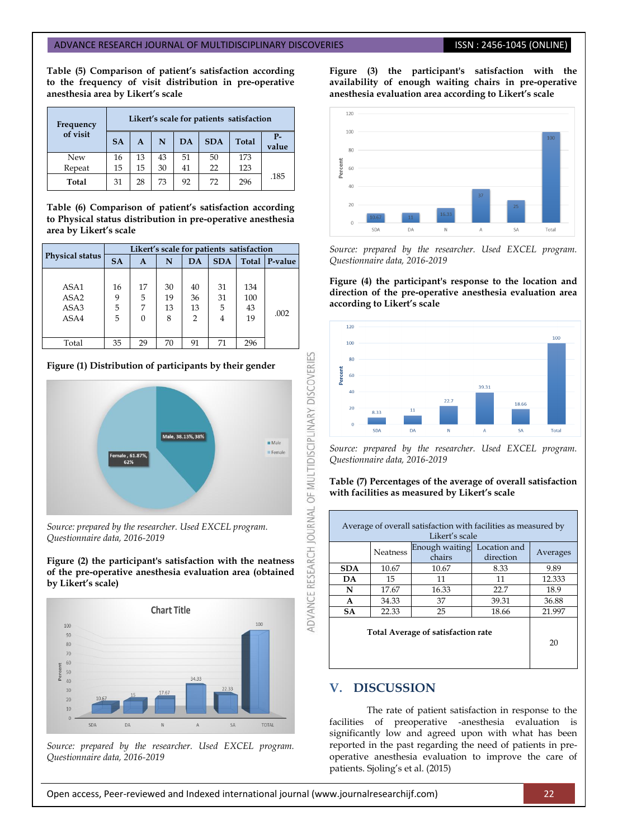#### ADVANCE RESEARCH JOURNAL OF MULTIDISCIPLINARY DISCOVERIES **ISSN : 2456-1045 (ONLINE**)

**Table (5) Comparison of patient's satisfaction according to the frequency of visit distribution in pre-operative anesthesia area by Likert's scale**

| Frequency | Likert's scale for patients satisfaction |              |    |    |            |              |               |  |
|-----------|------------------------------------------|--------------|----|----|------------|--------------|---------------|--|
| of visit  | <b>SA</b>                                | $\mathbf{A}$ | N  | DA | <b>SDA</b> | <b>Total</b> | $P-$<br>value |  |
| New       | 16                                       | 13           | 43 | 51 | 50         | 173          |               |  |
| Repeat    | 15                                       | 15           | 30 | 41 | 22         | 123          |               |  |
| Total     | 31                                       | 28           | 73 | 92 | 72         | 296          | .185          |  |

**Table (6) Comparison of patient's satisfaction according to Physical status distribution in pre-operative anesthesia area by Likert's scale**

|                                          | Likert's scale for patients satisfaction |                          |                     |                                  |                    |                        |         |  |  |
|------------------------------------------|------------------------------------------|--------------------------|---------------------|----------------------------------|--------------------|------------------------|---------|--|--|
| <b>Physical status</b>                   | <b>SA</b>                                | A                        | N                   | DA                               | <b>SDA</b>         | Total                  | P-value |  |  |
| ASA1<br>ASA <sub>2</sub><br>ASA3<br>ASA4 | 16<br>9<br>5<br>5                        | 17<br>5<br>7<br>$\Omega$ | 30<br>19<br>13<br>8 | 40<br>36<br>13<br>$\overline{2}$ | 31<br>31<br>5<br>4 | 134<br>100<br>43<br>19 | .002    |  |  |
| Total                                    | 35                                       | 29                       | 70                  | 91                               | 71                 | 296                    |         |  |  |

**Figure (1) Distribution of participants by their gender**



*Source: prepared by the researcher. Used EXCEL program. Questionnaire data, 2016-2019*

#### **Figure (2) the participant's satisfaction with the neatness of the pre-operative anesthesia evaluation area (obtained by Likert's scale)**



*Source: prepared by the researcher. Used EXCEL program. Questionnaire data, 2016-2019*

**Figure (3) the participant's satisfaction with the availability of enough waiting chairs in pre-operative anesthesia evaluation area according to Likert's scale**



*Source: prepared by the researcher. Used EXCEL program. Questionnaire data, 2016-2019*

**Figure (4) the participant's response to the location and direction of the pre-operative anesthesia evaluation area according to Likert's scale**



*Source: prepared by the researcher. Used EXCEL program. Questionnaire data, 2016-2019*

#### **Table (7) Percentages of the average of overall satisfaction with facilities as measured by Likert's scale**

|                                    | Averages |       |       |        |
|------------------------------------|----------|-------|-------|--------|
| <b>SDA</b>                         | 10.67    | 10.67 | 8.33  | 9.89   |
| DA                                 | 15       | 11    | 11    | 12.333 |
| N                                  | 17.67    | 16.33 | 22.7  | 18.9   |
| A                                  | 34.33    | 37    | 39.31 | 36.88  |
| <b>SA</b>                          | 22.33    | 25    | 18.66 | 21.997 |
| Total Average of satisfaction rate | 20       |       |       |        |

# **V. DISCUSSION**

The rate of patient satisfaction in response to the facilities of preoperative -anesthesia evaluation is significantly low and agreed upon with what has been reported in the past regarding the need of patients in preoperative anesthesia evaluation to improve the care of patients. Sjoling's et al. (2015)

#### Open access, Peer-reviewed and Indexed international journal (www.journalresearchijf.com) 22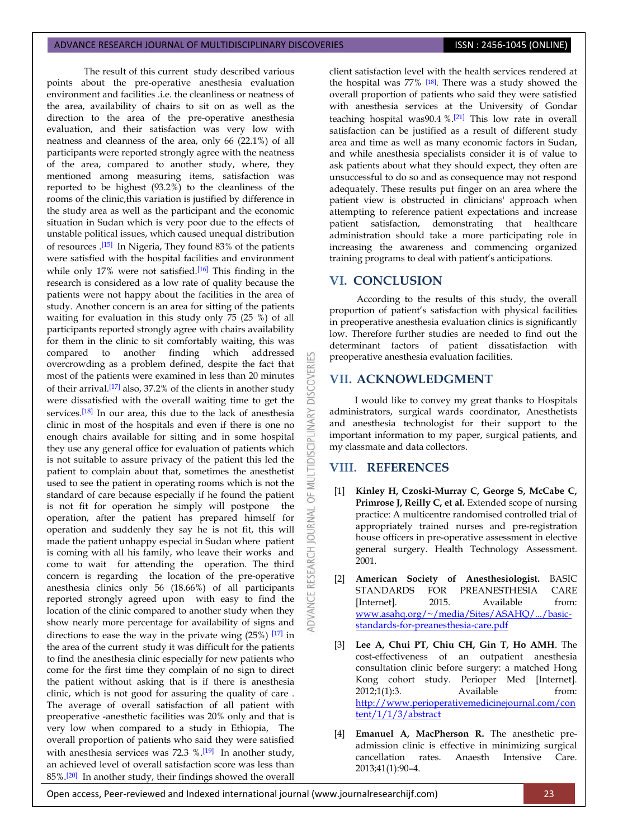#### ADVANCE RESEARCH JOURNAL OF MULTIDISCIPLINARY DISCOVERIES **ISSN : 2456-1045 (ONLINE)**

The result of this current study described various points about the pre-operative anesthesia evaluation environment and facilities .i.e. the cleanliness or neatness of the area, availability of chairs to sit on as well as the direction to the area of the pre-operative anesthesia evaluation, and their satisfaction was very low with neatness and cleanness of the area, only 66 (22.1%) of all participants were reported strongly agree with the neatness of the area, compared to another study, where, they mentioned among measuring items, satisfaction was reported to be highest (93.2%) to the cleanliness of the rooms of the clinic,this variation is justified by difference in the study area as well as the participant and the economic situation in Sudan which is very poor due to the effects of unstable political issues, which caused unequal distribution of resources .[\[15\]](#page-5-10) In Nigeria, They found 83% of the patients were satisfied with the hospital facilities and environment while only  $17\%$  were not satisfied.<sup>[\[16\]](#page-5-11)</sup> This finding in the research is considered as a low rate of quality because the patients were not happy about the facilities in the area of study. Another concern is an area for sitting of the patients waiting for evaluation in this study only 75 (25 %) of all participants reported strongly agree with chairs availability for them in the clinic to sit comfortably waiting, this was compared to another finding which addressed overcrowding as a problem defined, despite the fact that most of the patients were examined in less than 20 minutes of their arrival.<sup>[\[17\]](#page-5-12)</sup> also, 37.2% of the clients in another study were dissatisfied with the overall waiting time to get the services.<sup>[\[18\]](#page-5-13)</sup> In our area, this due to the lack of anesthesia clinic in most of the hospitals and even if there is one no enough chairs available for sitting and in some hospital they use any general office for evaluation of patients which is not suitable to assure privacy of the patient this led the patient to complain about that, sometimes the anesthetist used to see the patient in operating rooms which is not the standard of care because especially if he found the patient is not fit for operation he simply will postpone the operation, after the patient has prepared himself for operation and suddenly they say he is not fit, this will made the patient unhappy especial in Sudan where patient is coming with all his family, who leave their works and come to wait for attending the operation. The third concern is regarding the location of the pre-operative anesthesia clinics only 56 (18.66%) of all participants reported strongly agreed upon with easy to find the location of the clinic compared to another study when they show nearly more percentage for availability of signs and directions to ease the way in the private wing  $(25\%)$  [\[17\]](#page-5-12) in the area of the current study it was difficult for the patients to find the anesthesia clinic especially for new patients who come for the first time they complain of no sign to direct the patient without asking that is if there is anesthesia clinic, which is not good for assuring the quality of care . The average of overall satisfaction of all patient with preoperative -anesthetic facilities was 20% only and that is very low when compared to a study in Ethiopia, The overall proportion of patients who said they were satisfied with anesthesia services was  $72.3 \%$ .  $[19]$  In another study, an achieved level of overall satisfaction score was less than 85%.<sup>[\[20\]](#page-5-15)</sup> In another study, their findings showed the overall

client satisfaction level with the health services rendered at the hospital was 77% [\[18\]](#page-5-13). There was a study showed the overall proportion of patients who said they were satisfied with anesthesia services at the University of Gondar teaching hospital was90.4 %.[\[21\]](#page-5-16) This low rate in overall satisfaction can be justified as a result of different study area and time as well as many economic factors in Sudan, and while anesthesia specialists consider it is of value to ask patients about what they should expect, they often are unsuccessful to do so and as consequence may not respond adequately. These results put finger on an area where the patient view is obstructed in clinicians' approach when attempting to reference patient expectations and increase patient satisfaction, demonstrating that healthcare administration should take a more participating role in increasing the awareness and commencing organized training programs to deal with patient's anticipations.

# **VI. CONCLUSION**

OVERI

DISC

INARY

**IDISCI** 

5

**JAN NOURNAL** 

RESEARCH

According to the results of this study, the overall proportion of patient's satisfaction with physical facilities in preoperative anesthesia evaluation clinics is significantly low. Therefore further studies are needed to find out the determinant factors of patient dissatisfaction with preoperative anesthesia evaluation facilities.

# **VII. ACKNOWLEDGMENT**

I would like to convey my great thanks to Hospitals administrators, surgical wards coordinator, Anesthetists and anesthesia technologist for their support to the important information to my paper, surgical patients, and my classmate and data collectors.

# **VIII. REFERENCES**

- <span id="page-4-0"></span>[1] **Kinley H, Czoski-Murray C, George S, McCabe C, Primrose J, Reilly C, et al.** Extended scope of nursing practice: A multicentre randomised controlled trial of appropriately trained nurses and pre-registration house officers in pre-operative assessment in elective general surgery. Health Technology Assessment. 2001.
- [2] **American Society of Anesthesiologist.** BASIC STANDARDS FOR PREANESTHESIA CARE [Internet]. 2015. Available from: [www.asahq.org/~/media/Sites/ASAHQ/.../basic](http://www.asahq.org/~/media/Sites/ASAHQ/.../basic-standards-for-preanesthesia-care.pdf)[standards-for-preanesthesia-care.pdf](http://www.asahq.org/~/media/Sites/ASAHQ/.../basic-standards-for-preanesthesia-care.pdf)
- <span id="page-4-1"></span>[3] **Lee A, Chui PT, Chiu CH, Gin T, Ho AMH**. The cost-effectiveness of an outpatient anesthesia consultation clinic before surgery: a matched Hong Kong cohort study. Perioper Med [Internet]. 2012;1(1):3. Available from: [http://www.perioperativemedicinejournal.com/con](http://www.perioperativemedicinejournal.com/content/1/1/3/abstract) [tent/1/1/3/abstract](http://www.perioperativemedicinejournal.com/content/1/1/3/abstract)
- <span id="page-4-2"></span>[4] **Emanuel A, MacPherson R.** The anesthetic preadmission clinic is effective in minimizing surgical cancellation rates. Anaesth Intensive Care. 2013;41(1):90–4.

Open access, Peer-reviewed and Indexed international journal (www.journalresearchijf.com) 23